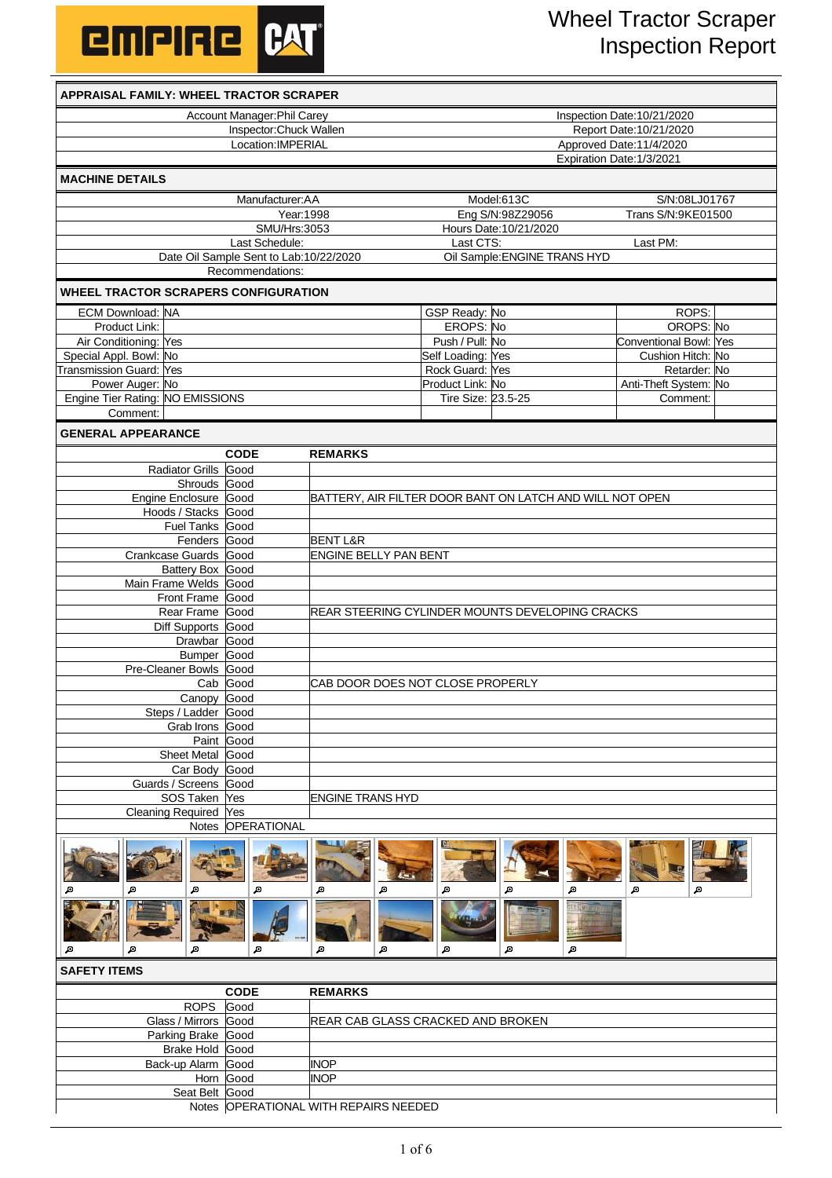

| <b>APPRAISAL FAMILY: WHEEL TRACTOR SCRAPER</b>  |              |                                        |                                                          |                                                                  |                              |                                            |  |  |
|-------------------------------------------------|--------------|----------------------------------------|----------------------------------------------------------|------------------------------------------------------------------|------------------------------|--------------------------------------------|--|--|
| Account Manager: Phil Carey                     |              |                                        |                                                          | Inspection Date:10/21/2020                                       |                              |                                            |  |  |
| Inspector: Chuck Wallen<br>Location: IMPERIAL   |              |                                        |                                                          | Report Date: 10/21/2020                                          |                              |                                            |  |  |
|                                                 |              |                                        |                                                          | Approved Date:11/4/2020<br>Expiration Date: 1/3/2021             |                              |                                            |  |  |
| <b>MACHINE DETAILS</b>                          |              |                                        |                                                          |                                                                  |                              |                                            |  |  |
| Manufacturer:AA                                 |              |                                        |                                                          | Model:613C<br>S/N:08LJ01767                                      |                              |                                            |  |  |
| Year: 1998                                      |              |                                        |                                                          | Trans S/N:9KE01500<br>Eng S/N:98Z29056<br>Hours Date: 10/21/2020 |                              |                                            |  |  |
| <b>SMU/Hrs:3053</b><br>Last Schedule:           |              |                                        |                                                          | Last CTS:                                                        |                              | Last PM:                                   |  |  |
|                                                 |              | Date Oil Sample Sent to Lab:10/22/2020 |                                                          |                                                                  | Oil Sample: ENGINE TRANS HYD |                                            |  |  |
|                                                 |              | Recommendations:                       |                                                          |                                                                  |                              |                                            |  |  |
| <b>WHEEL TRACTOR SCRAPERS CONFIGURATION</b>     |              |                                        |                                                          |                                                                  |                              |                                            |  |  |
| <b>ECM Download: NA</b>                         |              |                                        |                                                          | GSP Ready: No                                                    |                              | ROPS:                                      |  |  |
| Product Link:                                   |              |                                        |                                                          | EROPS: No<br>Push / Pull: No                                     |                              | OROPS: No<br><b>Conventional Bowl: Yes</b> |  |  |
| Air Conditioning: Yes<br>Special Appl. Bowl: No |              |                                        |                                                          | Self Loading: Yes                                                |                              | Cushion Hitch: No                          |  |  |
| Transmission Guard: Yes                         |              |                                        |                                                          | Rock Guard: Yes                                                  |                              | Retarder: No                               |  |  |
| Power Auger: No                                 |              |                                        |                                                          | Product Link: No                                                 |                              | Anti-Theft System: No                      |  |  |
| Engine Tier Rating: NO EMISSIONS                |              |                                        |                                                          | Tire Size: 23.5-25                                               |                              | Comment:                                   |  |  |
| Comment:                                        |              |                                        |                                                          |                                                                  |                              |                                            |  |  |
| <b>GENERAL APPEARANCE</b>                       |              |                                        |                                                          |                                                                  |                              |                                            |  |  |
|                                                 |              | <b>CODE</b>                            | <b>REMARKS</b>                                           |                                                                  |                              |                                            |  |  |
| Radiator Grills Good                            |              |                                        |                                                          |                                                                  |                              |                                            |  |  |
| Engine Enclosure Good                           | Shrouds Good |                                        | BATTERY, AIR FILTER DOOR BANT ON LATCH AND WILL NOT OPEN |                                                                  |                              |                                            |  |  |
| Hoods / Stacks Good                             |              |                                        |                                                          |                                                                  |                              |                                            |  |  |
| <b>Fuel Tanks Good</b>                          |              |                                        |                                                          |                                                                  |                              |                                            |  |  |
|                                                 | Fenders Good |                                        | <b>BENT L&amp;R</b>                                      |                                                                  |                              |                                            |  |  |
| Crankcase Guards Good                           |              |                                        | <b>ENGINE BELLY PAN BENT</b>                             |                                                                  |                              |                                            |  |  |
| Battery Box Good                                |              |                                        |                                                          |                                                                  |                              |                                            |  |  |
| Main Frame Welds Good                           |              |                                        |                                                          |                                                                  |                              |                                            |  |  |
| Front Frame Good                                |              |                                        |                                                          |                                                                  |                              |                                            |  |  |
| Rear Frame Good                                 |              |                                        | REAR STEERING CYLINDER MOUNTS DEVELOPING CRACKS          |                                                                  |                              |                                            |  |  |
| Diff Supports Good                              | Drawbar Good |                                        |                                                          |                                                                  |                              |                                            |  |  |
|                                                 | Bumper Good  |                                        |                                                          |                                                                  |                              |                                            |  |  |
| Pre-Cleaner Bowls Good                          |              |                                        |                                                          |                                                                  |                              |                                            |  |  |
|                                                 | Cab Good     |                                        | CAB DOOR DOES NOT CLOSE PROPERLY                         |                                                                  |                              |                                            |  |  |
|                                                 | Canopy Good  |                                        |                                                          |                                                                  |                              |                                            |  |  |
| Steps / Ladder Good                             |              |                                        |                                                          |                                                                  |                              |                                            |  |  |
| Grab Irons Good                                 |              |                                        |                                                          |                                                                  |                              |                                            |  |  |
|                                                 | Paint Good   |                                        |                                                          |                                                                  |                              |                                            |  |  |
| Sheet Metal Good                                |              |                                        |                                                          |                                                                  |                              |                                            |  |  |
| Car Body Good<br>Guards / Screens Good          |              |                                        |                                                          |                                                                  |                              |                                            |  |  |
| SOS Taken Yes                                   |              |                                        | <b>ENGINE TRANS HYD</b>                                  |                                                                  |                              |                                            |  |  |
| Cleaning Required Yes                           |              |                                        |                                                          |                                                                  |                              |                                            |  |  |
|                                                 |              | Notes OPERATIONAL                      |                                                          |                                                                  |                              |                                            |  |  |
| ø                                               |              | ø                                      | ø<br>ø                                                   | ø                                                                | ø                            | ø<br>Д                                     |  |  |
| ø                                               |              | Д                                      | Д<br>ø                                                   | Д                                                                | Д<br>Д                       |                                            |  |  |
| <b>SAFETY ITEMS</b>                             |              |                                        |                                                          |                                                                  |                              |                                            |  |  |
|                                                 |              | <b>CODE</b>                            | <b>REMARKS</b>                                           |                                                                  |                              |                                            |  |  |
|                                                 | <b>ROPS</b>  | Good                                   |                                                          |                                                                  |                              |                                            |  |  |
| Glass / Mirrors Good                            |              |                                        | <b>REAR CAB GLASS CRACKED AND BROKEN</b>                 |                                                                  |                              |                                            |  |  |
| Parking Brake Good                              |              |                                        |                                                          |                                                                  |                              |                                            |  |  |
| Brake Hold Good                                 |              |                                        |                                                          |                                                                  |                              |                                            |  |  |
| Back-up Alarm Good                              |              |                                        | <b>INOP</b>                                              |                                                                  |                              |                                            |  |  |
|                                                 |              | Horn Good                              | <b>INOP</b>                                              |                                                                  |                              |                                            |  |  |

Seat Belt Good Notes OPERATIONAL WITH REPAIRS NEEDED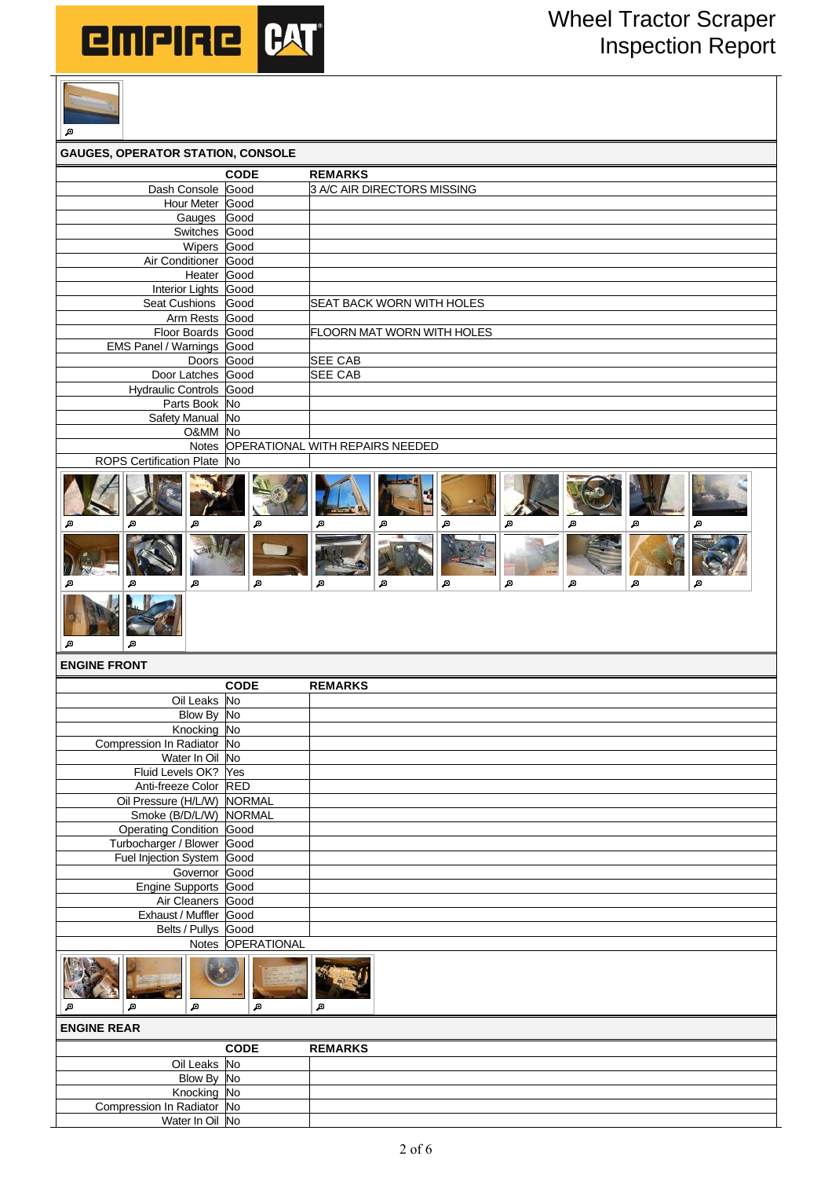

Compression In Radiator No

Water In Oil No



| Д                                        |                   |                                                                    |
|------------------------------------------|-------------------|--------------------------------------------------------------------|
| <b>GAUGES, OPERATOR STATION, CONSOLE</b> |                   |                                                                    |
|                                          | <b>CODE</b>       | <b>REMARKS</b>                                                     |
| Dash Console                             | Good              | 3 A/C AIR DIRECTORS MISSING                                        |
| Hour Meter                               | Good              |                                                                    |
| Gauges                                   | Good              |                                                                    |
| Switches                                 | Good              |                                                                    |
| Wipers                                   | Good              |                                                                    |
| Air Conditioner<br>Heater                | Good<br>Good      |                                                                    |
| <b>Interior Lights</b>                   | Good              |                                                                    |
| Seat Cushions                            | Good              | <b>SEAT BACK WORN WITH HOLES</b>                                   |
| Arm Rests                                | Good              |                                                                    |
| Floor Boards Good                        |                   | FLOORN MAT WORN WITH HOLES                                         |
| <b>EMS Panel / Warnings</b>              | Good              |                                                                    |
| Doors                                    | Good              | <b>SEE CAB</b>                                                     |
| Door Latches                             | Good              | <b>SEE CAB</b>                                                     |
| Hydraulic Controls Good                  |                   |                                                                    |
| Parts Book No                            |                   |                                                                    |
| Safety Manual                            | <b>No</b>         |                                                                    |
| O&MM No                                  |                   |                                                                    |
| <b>Notes</b>                             |                   | OPERATIONAL WITH REPAIRS NEEDED                                    |
| <b>ROPS Certification Plate</b>          | <b>No</b>         |                                                                    |
| 回<br>ø<br>ø<br>A<br>ø<br>ø               | Д<br>Д            | ø<br>ø<br>ø<br>ø<br>ø<br>ø<br>ø<br>Д<br>Д<br>Д<br>Д<br>Д<br>Д<br>Д |
| ø<br><b>ENGINE FRONT</b>                 |                   |                                                                    |
|                                          | <b>CODE</b>       | <b>REMARKS</b>                                                     |
| Oil Leaks No                             |                   |                                                                    |
| Blow By No                               |                   |                                                                    |
| Knocking No                              |                   |                                                                    |
| Compression In Radiator No               |                   |                                                                    |
| Water In Oil No                          |                   |                                                                    |
| Fluid Levels OK? Yes                     |                   |                                                                    |
| Anti-freeze Color                        | <b>RED</b>        |                                                                    |
| Oil Pressure (H/L/W)                     | <b>NORMAL</b>     |                                                                    |
| Smoke (B/D/L/W)                          | NORMAL            |                                                                    |
| <b>Operating Condition</b>               | Good              |                                                                    |
| Turbocharger / Blower                    | Good              |                                                                    |
| Fuel Injection System                    | Good              |                                                                    |
| Governor                                 | Good              |                                                                    |
| <b>Engine Supports</b>                   | Good              |                                                                    |
| Air Cleaners<br>Exhaust / Muffler Good   | Good              |                                                                    |
| Belts / Pullys Good                      |                   |                                                                    |
|                                          | Notes OPERATIONAL |                                                                    |
| Д<br>Д                                   | Д                 | Д                                                                  |
| <b>ENGINE REAR</b>                       |                   |                                                                    |
|                                          | <b>CODE</b>       | <b>REMARKS</b>                                                     |
| Oil Leaks No                             |                   |                                                                    |
| Blow By No                               |                   |                                                                    |
| Knocking No                              |                   |                                                                    |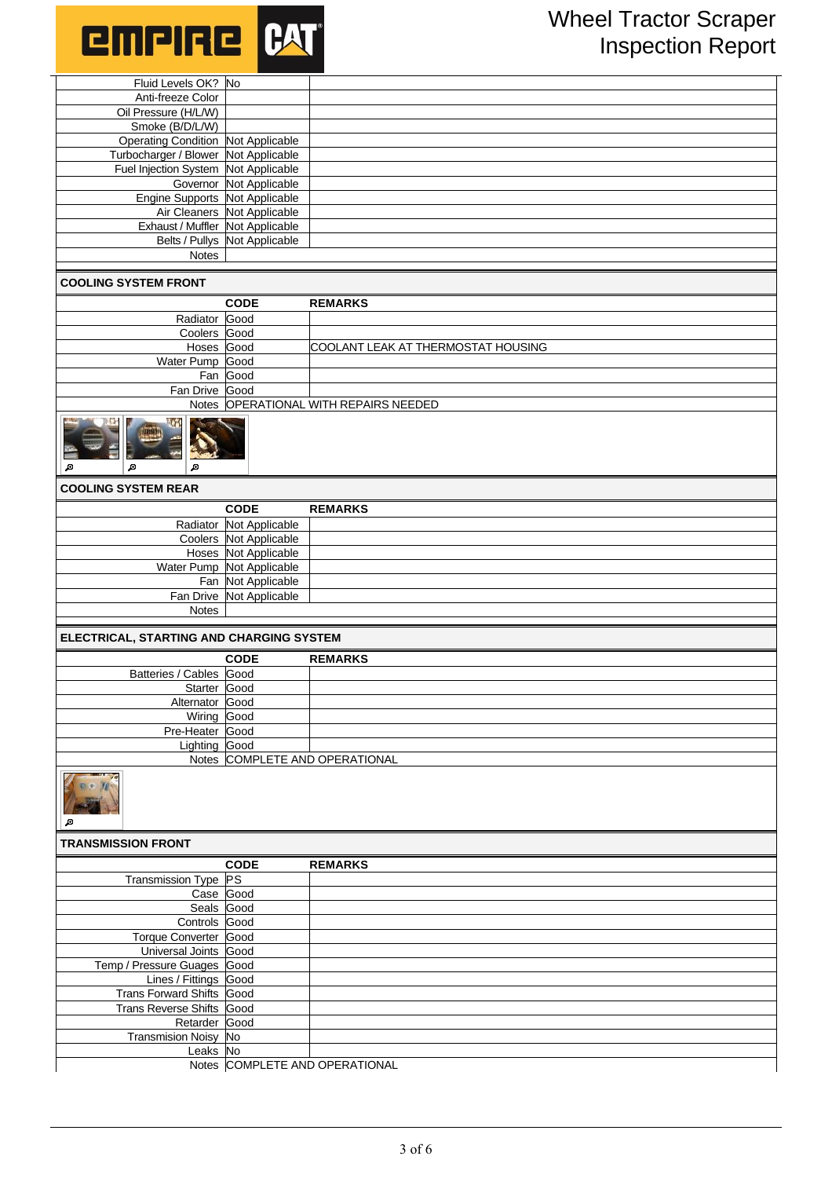

| Fluid Levels OK? No                       |                               |                                       |
|-------------------------------------------|-------------------------------|---------------------------------------|
| Anti-freeze Color                         |                               |                                       |
| Oil Pressure (H/L/W)                      |                               |                                       |
| Smoke (B/D/L/W)                           |                               |                                       |
| <b>Operating Condition Not Applicable</b> |                               |                                       |
| Turbocharger / Blower Not Applicable      |                               |                                       |
| Fuel Injection System Not Applicable      |                               |                                       |
|                                           | Governor Not Applicable       |                                       |
| Engine Supports Not Applicable            |                               |                                       |
|                                           | Air Cleaners Not Applicable   |                                       |
| Exhaust / Muffler Not Applicable          |                               |                                       |
|                                           | Belts / Pullys Not Applicable |                                       |
| Notes                                     |                               |                                       |
|                                           |                               |                                       |
| <b>COOLING SYSTEM FRONT</b>               |                               |                                       |
|                                           | <b>CODE</b>                   | <b>REMARKS</b>                        |
| Radiator Good                             |                               |                                       |
| Coolers Good                              |                               |                                       |
| Hoses Good                                |                               | COOLANT LEAK AT THERMOSTAT HOUSING    |
| Water Pump Good                           |                               |                                       |
|                                           | Fan Good                      |                                       |
| Fan Drive Good                            |                               |                                       |
|                                           |                               | Notes OPERATIONAL WITH REPAIRS NEEDED |
| Д<br>ø<br>Д                               |                               |                                       |
| <b>COOLING SYSTEM REAR</b>                |                               |                                       |
|                                           |                               |                                       |
|                                           | <b>CODE</b>                   | <b>REMARKS</b>                        |
|                                           | Radiator Not Applicable       |                                       |
|                                           | Coolers Not Applicable        |                                       |
|                                           | Hoses Not Applicable          |                                       |
|                                           | Water Pump Not Applicable     |                                       |
|                                           | Fan Not Applicable            |                                       |
|                                           | Fan Drive Not Applicable      |                                       |
| Notes                                     |                               |                                       |
|                                           |                               |                                       |
| ELECTRICAL, STARTING AND CHARGING SYSTEM  |                               |                                       |
|                                           | <b>CODE</b>                   | <b>REMARKS</b>                        |
| Batteries / Cables Good                   |                               |                                       |
| Starter Good                              |                               |                                       |
| Alternator Good                           |                               |                                       |
| Wiring Good                               |                               |                                       |
| Pre-Heater Good                           |                               |                                       |
| Lighting Good                             |                               |                                       |
|                                           |                               | Notes COMPLETE AND OPERATIONAL        |
| ø                                         |                               |                                       |
| <b>TRANSMISSION FRONT</b>                 |                               |                                       |

|                             | <b>CODE</b> | <b>REMARKS</b>                 |
|-----------------------------|-------------|--------------------------------|
| Transmission Type PS        |             |                                |
| Case Good                   |             |                                |
| Seals Good                  |             |                                |
| Controls Good               |             |                                |
| Torque Converter Good       |             |                                |
| Universal Joints Good       |             |                                |
| Temp / Pressure Guages Good |             |                                |
| Lines / Fittings Good       |             |                                |
| Trans Forward Shifts Good   |             |                                |
| Trans Reverse Shifts Good   |             |                                |
| Retarder Good               |             |                                |
| Transmision Noisy No        |             |                                |
| Leaks No                    |             |                                |
|                             |             | Notes COMPLETE AND OPERATIONAL |

3 of 6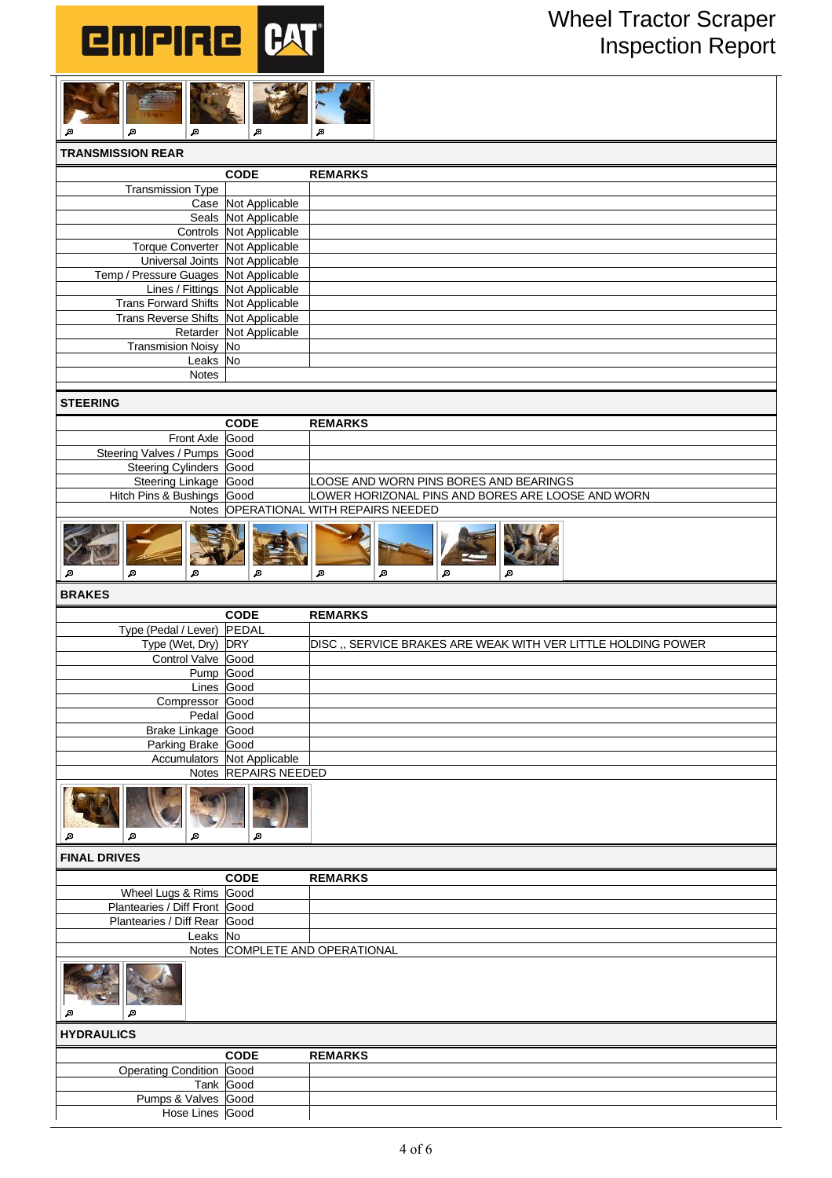



| <b>TRANSMISSION REAR</b>              |                         |                |
|---------------------------------------|-------------------------|----------------|
|                                       | <b>CODE</b>             | <b>REMARKS</b> |
| <b>Transmission Type</b>              |                         |                |
|                                       | Case Not Applicable     |                |
|                                       | Seals Not Applicable    |                |
|                                       | Controls Not Applicable |                |
| Torque Converter Not Applicable       |                         |                |
| Universal Joints Not Applicable       |                         |                |
| Temp / Pressure Guages Not Applicable |                         |                |
| Lines / Fittings Not Applicable       |                         |                |
| Trans Forward Shifts Not Applicable   |                         |                |
| Trans Reverse Shifts Not Applicable   |                         |                |
|                                       | Retarder Not Applicable |                |
| <b>Transmision Noisy</b>              | <b>No</b>               |                |
| Leaks No                              |                         |                |
| <b>Notes</b>                          |                         |                |

## **STEERING**

|                              | <b>CODE</b> | <b>REMARKS</b>                                    |
|------------------------------|-------------|---------------------------------------------------|
| Front Axle Good              |             |                                                   |
| Steering Valves / Pumps Good |             |                                                   |
| Steering Cylinders Good      |             |                                                   |
| Steering Linkage Good        |             | LOOSE AND WORN PINS BORES AND BEARINGS            |
| Hitch Pins & Bushings Good   |             | LOWER HORIZONAL PINS AND BORES ARE LOOSE AND WORN |
|                              |             | Notes OPERATIONAL WITH REPAIRS NEEDED             |
|                              |             |                                                   |

 $\blacksquare$ 

ø

 $\blacksquare$ 

 $\blacksquare$ 

ø

## **BRAKES**

 $\blacksquare$ 

 $\blacksquare$ 

 $\overline{\mathbf{e}}$ 

|                            | <b>CODE</b>                 | <b>REMARKS</b>                                               |
|----------------------------|-----------------------------|--------------------------------------------------------------|
| Type (Pedal / Lever) PEDAL |                             |                                                              |
| Type (Wet, Dry) DRY        |                             | DISC., SERVICE BRAKES ARE WEAK WITH VER LITTLE HOLDING POWER |
| Control Valve Good         |                             |                                                              |
|                            | Pump Good                   |                                                              |
|                            | Lines Good                  |                                                              |
| Compressor Good            |                             |                                                              |
|                            | Pedal Good                  |                                                              |
| Brake Linkage Good         |                             |                                                              |
| Parking Brake Good         |                             |                                                              |
|                            | Accumulators Not Applicable |                                                              |
|                            | Notes REPAIRS NEEDED        |                                                              |
| ø<br>А<br>А                | Д                           |                                                              |

**FINAL DRIVES**

|                               | <b>CODE</b> | <b>REMARKS</b>                 |
|-------------------------------|-------------|--------------------------------|
|                               |             |                                |
| Wheel Lugs & Rims Good        |             |                                |
| Plantearies / Diff Front Good |             |                                |
| Plantearies / Diff Rear Good  |             |                                |
| Leaks No                      |             |                                |
|                               |             | Notes COMPLETE AND OPERATIONAL |
| Д<br>А                        |             |                                |
| <b>HYDRAULICS</b>             |             |                                |
|                               | <b>CODE</b> | <b>REMARKS</b>                 |
| <b>Operating Condition</b>    | Good        |                                |
|                               | Tank Good   |                                |
| Pumps & Valves Good           |             |                                |
| Hose Lines Good               |             |                                |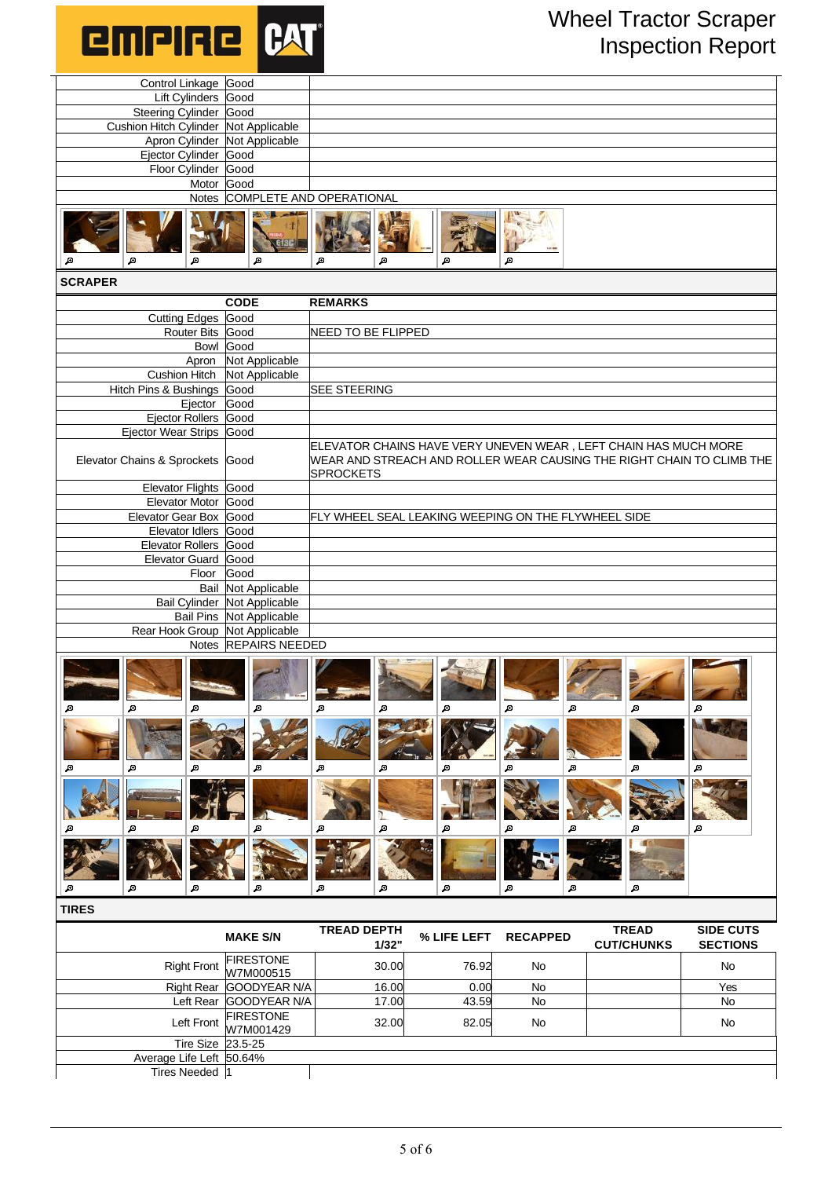

| Control Linkage Good                         |                                  |                                                                                                                                                              |             |                 |                   |                  |
|----------------------------------------------|----------------------------------|--------------------------------------------------------------------------------------------------------------------------------------------------------------|-------------|-----------------|-------------------|------------------|
| Lift Cylinders Good                          |                                  |                                                                                                                                                              |             |                 |                   |                  |
| Steering Cylinder Good                       |                                  |                                                                                                                                                              |             |                 |                   |                  |
| Cushion Hitch Cylinder Not Applicable        |                                  |                                                                                                                                                              |             |                 |                   |                  |
|                                              | Apron Cylinder Not Applicable    |                                                                                                                                                              |             |                 |                   |                  |
| Ejector Cylinder Good<br>Floor Cylinder Good |                                  |                                                                                                                                                              |             |                 |                   |                  |
|                                              | Motor Good                       |                                                                                                                                                              |             |                 |                   |                  |
|                                              | Notes COMPLETE AND OPERATIONAL   |                                                                                                                                                              |             |                 |                   |                  |
|                                              |                                  |                                                                                                                                                              |             |                 |                   |                  |
| ø<br>ø                                       | ø                                | ø<br>ø                                                                                                                                                       | ø           | ø               |                   |                  |
|                                              |                                  |                                                                                                                                                              |             |                 |                   |                  |
| <b>SCRAPER</b>                               |                                  |                                                                                                                                                              |             |                 |                   |                  |
|                                              | <b>CODE</b>                      | <b>REMARKS</b>                                                                                                                                               |             |                 |                   |                  |
| <b>Cutting Edges</b>                         | Good                             |                                                                                                                                                              |             |                 |                   |                  |
| Router Bits Good                             |                                  | NEED TO BE FLIPPED                                                                                                                                           |             |                 |                   |                  |
|                                              | Bowl Good                        |                                                                                                                                                              |             |                 |                   |                  |
| Apron<br><b>Cushion Hitch</b>                | Not Applicable<br>Not Applicable |                                                                                                                                                              |             |                 |                   |                  |
| Hitch Pins & Bushings Good                   |                                  | <b>SEE STEERING</b>                                                                                                                                          |             |                 |                   |                  |
|                                              | Ejector Good                     |                                                                                                                                                              |             |                 |                   |                  |
| Ejector Rollers Good                         |                                  |                                                                                                                                                              |             |                 |                   |                  |
| Ejector Wear Strips Good                     |                                  |                                                                                                                                                              |             |                 |                   |                  |
| Elevator Chains & Sprockets Good             |                                  | ELEVATOR CHAINS HAVE VERY UNEVEN WEAR, LEFT CHAIN HAS MUCH MORE<br>WEAR AND STREACH AND ROLLER WEAR CAUSING THE RIGHT CHAIN TO CLIMB THE<br><b>SPROCKETS</b> |             |                 |                   |                  |
| Elevator Flights Good                        |                                  |                                                                                                                                                              |             |                 |                   |                  |
| Elevator Motor Good                          |                                  |                                                                                                                                                              |             |                 |                   |                  |
| Elevator Gear Box Good                       |                                  | FLY WHEEL SEAL LEAKING WEEPING ON THE FLYWHEEL SIDE                                                                                                          |             |                 |                   |                  |
| Elevator Idlers Good                         |                                  |                                                                                                                                                              |             |                 |                   |                  |
| Elevator Rollers Good                        |                                  |                                                                                                                                                              |             |                 |                   |                  |
| Elevator Guard Good                          |                                  |                                                                                                                                                              |             |                 |                   |                  |
| Floor                                        | Good                             |                                                                                                                                                              |             |                 |                   |                  |
|                                              | <b>Bail Not Applicable</b>       |                                                                                                                                                              |             |                 |                   |                  |
|                                              | Bail Cylinder Not Applicable     |                                                                                                                                                              |             |                 |                   |                  |
| Rear Hook Group Not Applicable               | Bail Pins Not Applicable         |                                                                                                                                                              |             |                 |                   |                  |
|                                              | Notes REPAIRS NEEDED             |                                                                                                                                                              |             |                 |                   |                  |
| Д<br>Д<br>Д                                  | Д                                | Д<br>Д                                                                                                                                                       | Д           | Д<br>ø          | Д                 | Д                |
| Д<br>Д<br>Д                                  | Д                                | Д<br>Д                                                                                                                                                       | Д           | Д<br>Д          | Д                 | Æ                |
| ø<br>ø                                       | A                                | A<br>ø                                                                                                                                                       | ø           | Д<br>ø          | A                 | A                |
| Д<br>Д<br>Д                                  | Д                                | Д<br>Д                                                                                                                                                       | А           | Д<br>Д          | Д                 |                  |
| <b>TIRES</b>                                 |                                  |                                                                                                                                                              |             |                 |                   |                  |
|                                              |                                  | <b>TREAD DEPTH</b>                                                                                                                                           |             |                 | <b>TREAD</b>      | <b>SIDE CUTS</b> |
|                                              | <b>MAKE S/N</b>                  | 1/32"                                                                                                                                                        | % LIFE LEFT | <b>RECAPPED</b> | <b>CUT/CHUNKS</b> | <b>SECTIONS</b>  |
| <b>Right Front</b>                           | <b>FIRESTONE</b><br>W7M000515    | 30.00                                                                                                                                                        | 76.92       | No              |                   | No               |
| <b>Right Rear</b>                            | GOODYEAR N/A                     | 16.00                                                                                                                                                        | 0.00        | No              |                   | Yes              |
| Left Rear                                    | GOODYEAR N/A                     | 17.00                                                                                                                                                        | 43.59       | No              |                   | No.              |
| Left Front                                   | <b>FIRESTONE</b>                 | 32.00                                                                                                                                                        | 82.05       | No              |                   | No               |
|                                              | W7M001429                        |                                                                                                                                                              |             |                 |                   |                  |
| <b>Tire Size</b><br>Average Life Left 50.64% | 23.5-25                          |                                                                                                                                                              |             |                 |                   |                  |
| Tires Needed 1                               |                                  |                                                                                                                                                              |             |                 |                   |                  |
|                                              |                                  |                                                                                                                                                              |             |                 |                   |                  |